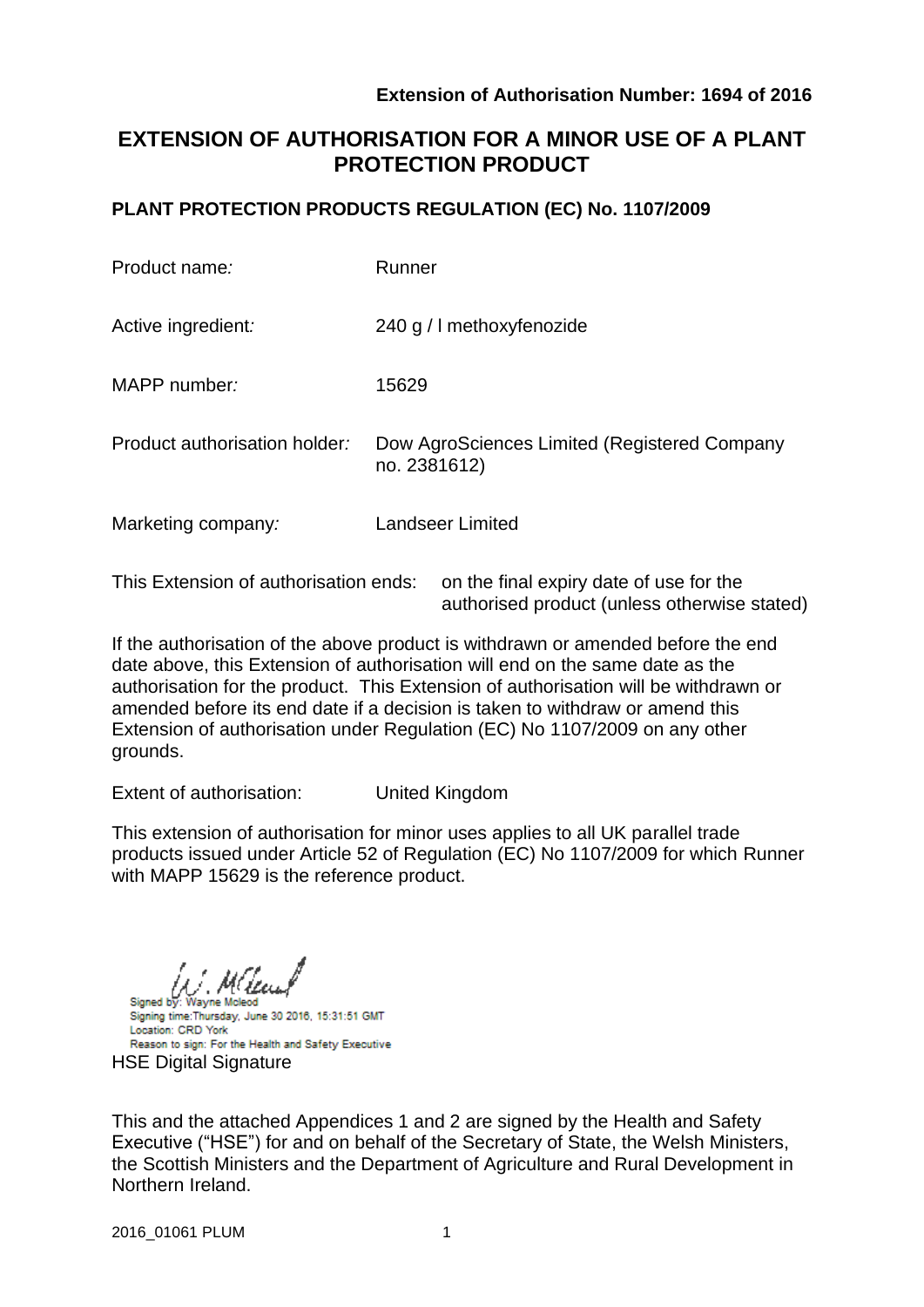authorised product (unless otherwise stated)

# **EXTENSION OF AUTHORISATION FOR A MINOR USE OF A PLANT PROTECTION PRODUCT**

# **PLANT PROTECTION PRODUCTS REGULATION (EC) No. 1107/2009**

| Product name:                                                                    | Runner                                                       |  |  |  |  |  |
|----------------------------------------------------------------------------------|--------------------------------------------------------------|--|--|--|--|--|
| Active ingredient:                                                               | 240 g / I methoxyfenozide                                    |  |  |  |  |  |
| MAPP number:                                                                     | 15629                                                        |  |  |  |  |  |
| Product authorisation holder:                                                    | Dow AgroSciences Limited (Registered Company<br>no. 2381612) |  |  |  |  |  |
| Marketing company:                                                               | <b>Landseer Limited</b>                                      |  |  |  |  |  |
| This Extension of authorisation ends:<br>on the final expiry date of use for the |                                                              |  |  |  |  |  |

If the authorisation of the above product is withdrawn or amended before the end date above, this Extension of authorisation will end on the same date as the authorisation for the product. This Extension of authorisation will be withdrawn or amended before its end date if a decision is taken to withdraw or amend this Extension of authorisation under Regulation (EC) No 1107/2009 on any other grounds.

Extent of authorisation: United Kingdom

This extension of authorisation for minor uses applies to all UK parallel trade products issued under Article 52 of Regulation (EC) No 1107/2009 for which Runner with MAPP 15629 is the reference product.

Signed by: Wayne Mcleod Signing time: Thursday, June 30 2016, 15:31:51 GMT Location: CRD York Reason to sign: For the Health and Safety Executive **HSE Digital Signature** 

This and the attached Appendices 1 and 2 are signed by the Health and Safety Executive ("HSE") for and on behalf of the Secretary of State, the Welsh Ministers, the Scottish Ministers and the Department of Agriculture and Rural Development in Northern Ireland.

2016\_01061 PLUM 1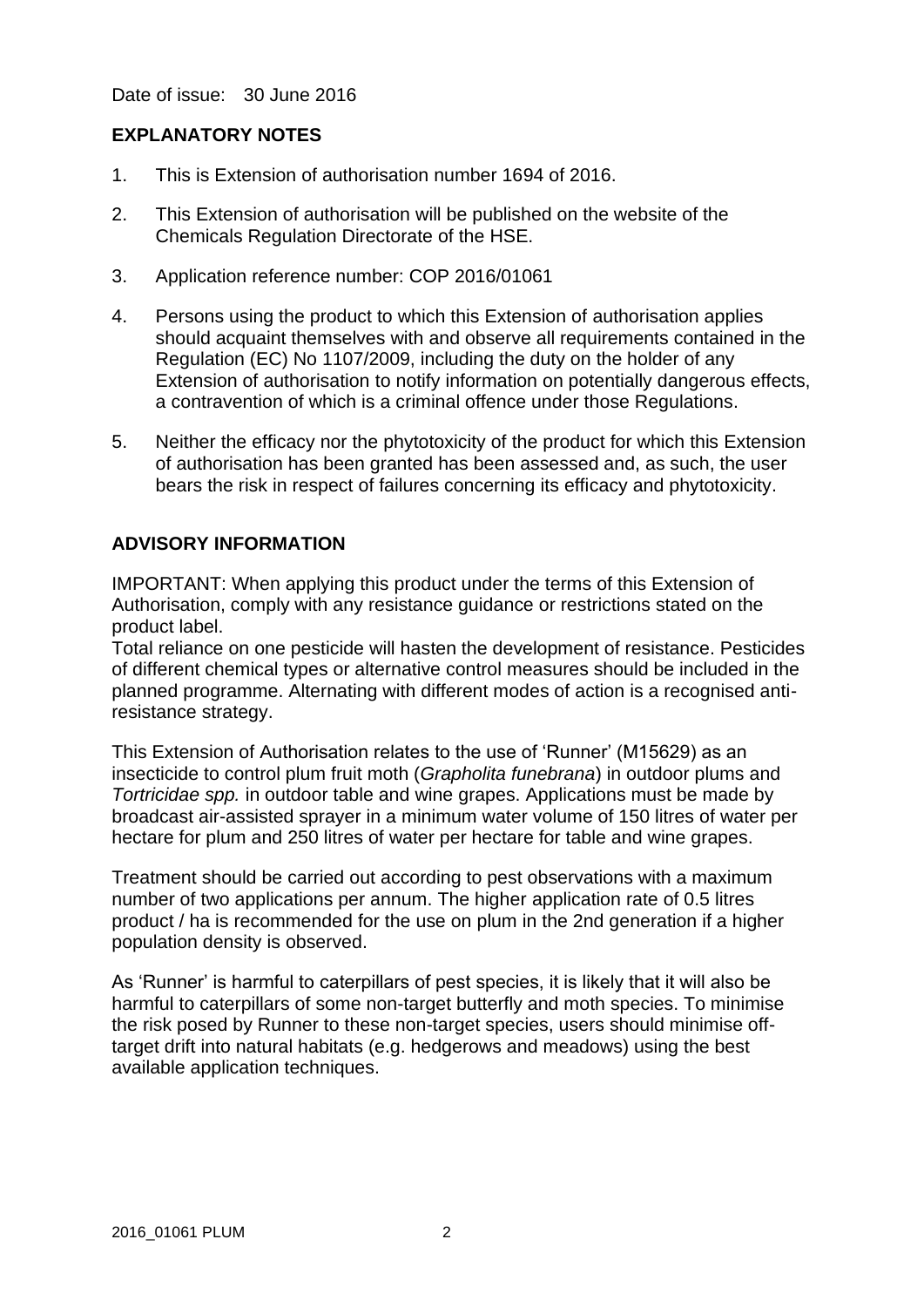Date of issue: 30 June 2016

# **EXPLANATORY NOTES**

- 1. This is Extension of authorisation number 1694 of 2016.
- 2. This Extension of authorisation will be published on the website of the Chemicals Regulation Directorate of the HSE.
- 3. Application reference number: COP 2016/01061
- 4. Persons using the product to which this Extension of authorisation applies should acquaint themselves with and observe all requirements contained in the Regulation (EC) No 1107/2009, including the duty on the holder of any Extension of authorisation to notify information on potentially dangerous effects, a contravention of which is a criminal offence under those Regulations.
- 5. Neither the efficacy nor the phytotoxicity of the product for which this Extension of authorisation has been granted has been assessed and, as such, the user bears the risk in respect of failures concerning its efficacy and phytotoxicity.

# **ADVISORY INFORMATION**

IMPORTANT: When applying this product under the terms of this Extension of Authorisation, comply with any resistance guidance or restrictions stated on the product label.

Total reliance on one pesticide will hasten the development of resistance. Pesticides of different chemical types or alternative control measures should be included in the planned programme. Alternating with different modes of action is a recognised antiresistance strategy.

This Extension of Authorisation relates to the use of 'Runner' (M15629) as an insecticide to control plum fruit moth (*Grapholita funebrana*) in outdoor plums and *Tortricidae spp.* in outdoor table and wine grapes. Applications must be made by broadcast air-assisted sprayer in a minimum water volume of 150 litres of water per hectare for plum and 250 litres of water per hectare for table and wine grapes.

Treatment should be carried out according to pest observations with a maximum number of two applications per annum. The higher application rate of 0.5 litres product / ha is recommended for the use on plum in the 2nd generation if a higher population density is observed.

As 'Runner' is harmful to caterpillars of pest species, it is likely that it will also be harmful to caterpillars of some non-target butterfly and moth species. To minimise the risk posed by Runner to these non-target species, users should minimise offtarget drift into natural habitats (e.g. hedgerows and meadows) using the best available application techniques.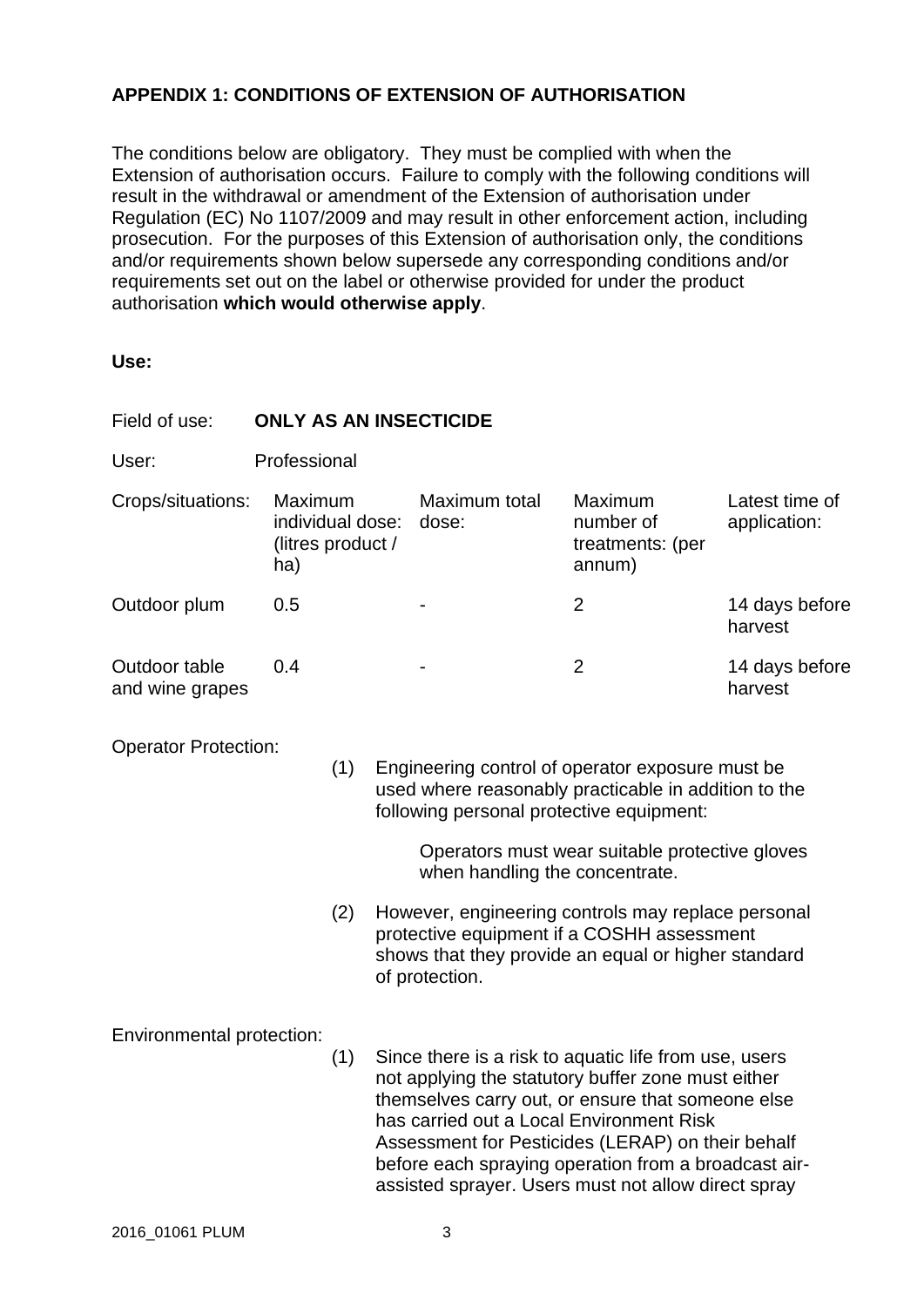# **APPENDIX 1: CONDITIONS OF EXTENSION OF AUTHORISATION**

The conditions below are obligatory. They must be complied with when the Extension of authorisation occurs. Failure to comply with the following conditions will result in the withdrawal or amendment of the Extension of authorisation under Regulation (EC) No 1107/2009 and may result in other enforcement action, including prosecution. For the purposes of this Extension of authorisation only, the conditions and/or requirements shown below supersede any corresponding conditions and/or requirements set out on the label or otherwise provided for under the product authorisation **which would otherwise apply**.

**Use:**

| Field of use:                    | <b>ONLY AS AN INSECTICIDE</b>                           |            |  |                                                                                              |                                                                                                                                                                                                                                                                                                                                      |                                |  |  |
|----------------------------------|---------------------------------------------------------|------------|--|----------------------------------------------------------------------------------------------|--------------------------------------------------------------------------------------------------------------------------------------------------------------------------------------------------------------------------------------------------------------------------------------------------------------------------------------|--------------------------------|--|--|
| User:                            | Professional                                            |            |  |                                                                                              |                                                                                                                                                                                                                                                                                                                                      |                                |  |  |
| Crops/situations:                | Maximum<br>individual dose:<br>(litres product /<br>ha) |            |  | Maximum total<br>dose:                                                                       | Maximum<br>number of<br>treatments: (per<br>annum)                                                                                                                                                                                                                                                                                   | Latest time of<br>application: |  |  |
| Outdoor plum                     | 0.5                                                     |            |  |                                                                                              | $\overline{2}$                                                                                                                                                                                                                                                                                                                       | 14 days before<br>harvest      |  |  |
| Outdoor table<br>and wine grapes | 0.4                                                     |            |  |                                                                                              | $\overline{2}$                                                                                                                                                                                                                                                                                                                       | 14 days before<br>harvest      |  |  |
| <b>Operator Protection:</b>      |                                                         | (1)<br>(2) |  | following personal protective equipment:<br>when handling the concentrate.<br>of protection. | Engineering control of operator exposure must be<br>used where reasonably practicable in addition to the<br>Operators must wear suitable protective gloves<br>However, engineering controls may replace personal<br>protective equipment if a COSHH assessment<br>shows that they provide an equal or higher standard                |                                |  |  |
| Environmental protection:        |                                                         | (1)        |  | has carried out a Local Environment Risk                                                     | Since there is a risk to aquatic life from use, users<br>not applying the statutory buffer zone must either<br>themselves carry out, or ensure that someone else<br>Assessment for Pesticides (LERAP) on their behalf<br>before each spraying operation from a broadcast air-<br>assisted sprayer. Users must not allow direct spray |                                |  |  |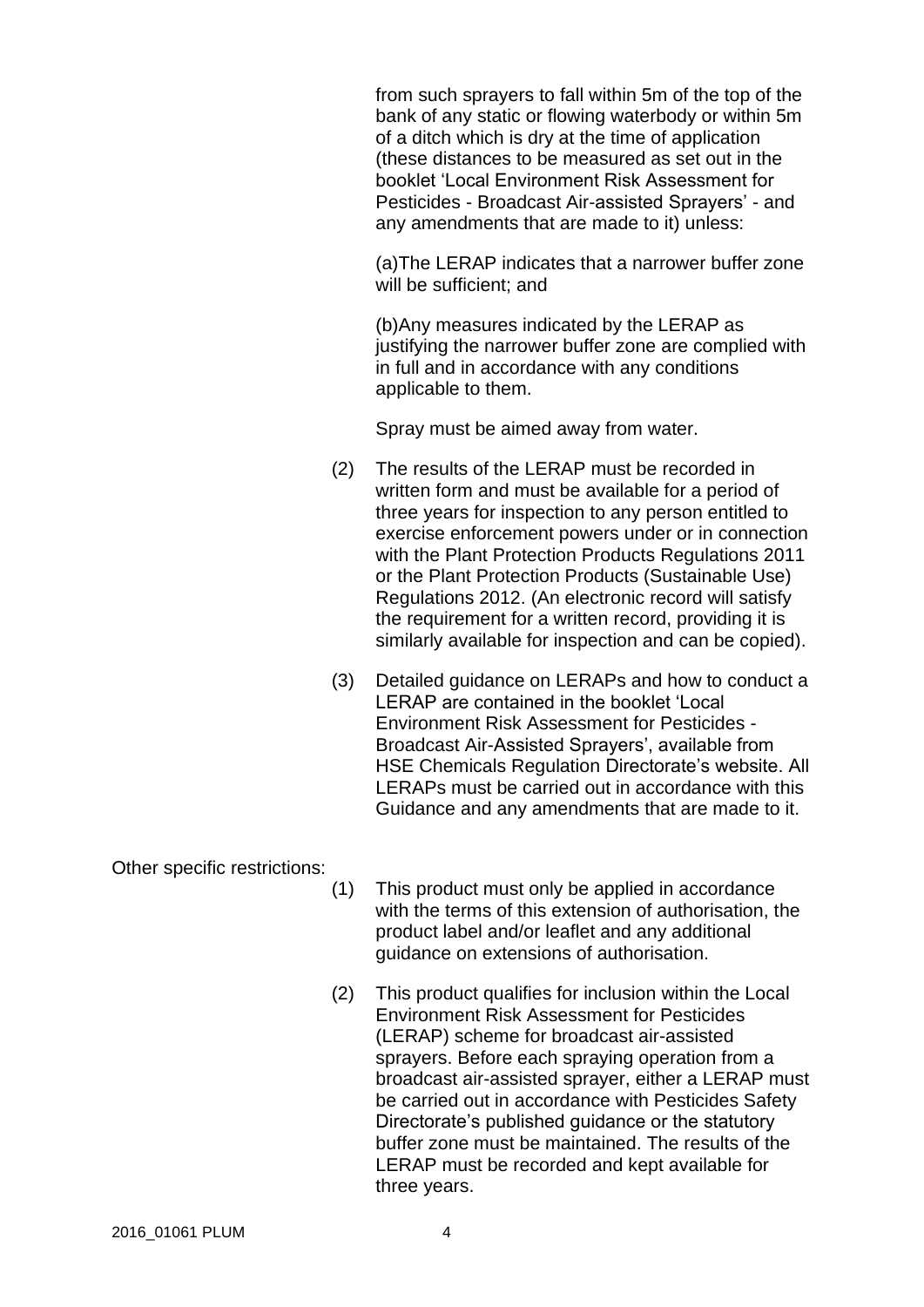from such sprayers to fall within 5m of the top of the bank of any static or flowing waterbody or within 5m of a ditch which is dry at the time of application (these distances to be measured as set out in the booklet 'Local Environment Risk Assessment for Pesticides - Broadcast Air-assisted Sprayers' - and any amendments that are made to it) unless:

(a)The LERAP indicates that a narrower buffer zone will be sufficient; and

(b)Any measures indicated by the LERAP as justifying the narrower buffer zone are complied with in full and in accordance with any conditions applicable to them.

Spray must be aimed away from water.

- (2) The results of the LERAP must be recorded in written form and must be available for a period of three years for inspection to any person entitled to exercise enforcement powers under or in connection with the Plant Protection Products Regulations 2011 or the Plant Protection Products (Sustainable Use) Regulations 2012. (An electronic record will satisfy the requirement for a written record, providing it is similarly available for inspection and can be copied).
- (3) Detailed guidance on LERAPs and how to conduct a LERAP are contained in the booklet 'Local Environment Risk Assessment for Pesticides - Broadcast Air-Assisted Sprayers', available from HSE Chemicals Regulation Directorate's website. All LERAPs must be carried out in accordance with this Guidance and any amendments that are made to it.

Other specific restrictions:

- (1) This product must only be applied in accordance with the terms of this extension of authorisation, the product label and/or leaflet and any additional guidance on extensions of authorisation.
- (2) This product qualifies for inclusion within the Local Environment Risk Assessment for Pesticides (LERAP) scheme for broadcast air-assisted sprayers. Before each spraying operation from a broadcast air-assisted sprayer, either a LERAP must be carried out in accordance with Pesticides Safety Directorate's published guidance or the statutory buffer zone must be maintained. The results of the LERAP must be recorded and kept available for three years.